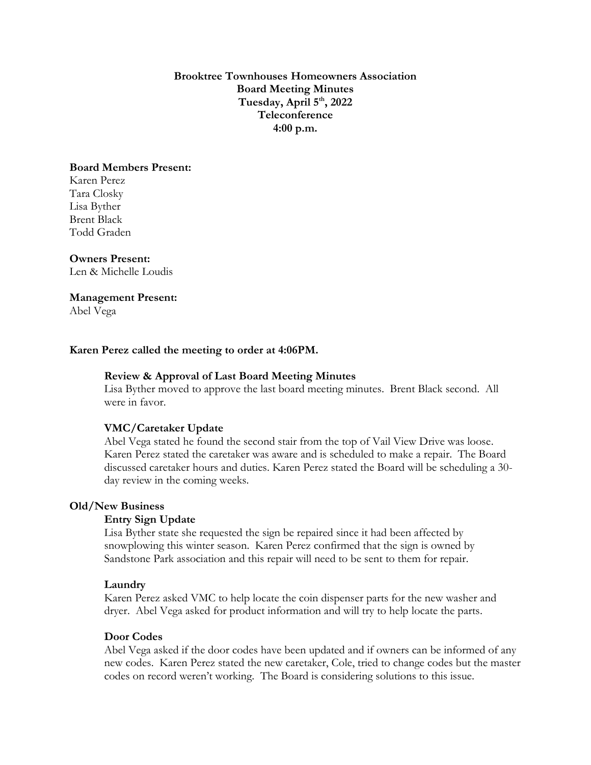**Brooktree Townhouses Homeowners Association Board Meeting Minutes Tuesday, April 5 th, 2022 Teleconference 4:00 p.m.**

## **Board Members Present:**

Karen Perez Tara Closky Lisa Byther Brent Black Todd Graden

### **Owners Present:**

Len & Michelle Loudis

## **Management Present:**

Abel Vega

## **Karen Perez called the meeting to order at 4:06PM.**

#### **Review & Approval of Last Board Meeting Minutes**

Lisa Byther moved to approve the last board meeting minutes. Brent Black second. All were in favor.

#### **VMC/Caretaker Update**

Abel Vega stated he found the second stair from the top of Vail View Drive was loose. Karen Perez stated the caretaker was aware and is scheduled to make a repair. The Board discussed caretaker hours and duties. Karen Perez stated the Board will be scheduling a 30 day review in the coming weeks.

#### **Old/New Business**

## **Entry Sign Update**

Lisa Byther state she requested the sign be repaired since it had been affected by snowplowing this winter season. Karen Perez confirmed that the sign is owned by Sandstone Park association and this repair will need to be sent to them for repair.

#### **Laundry**

Karen Perez asked VMC to help locate the coin dispenser parts for the new washer and dryer. Abel Vega asked for product information and will try to help locate the parts.

## **Door Codes**

Abel Vega asked if the door codes have been updated and if owners can be informed of any new codes. Karen Perez stated the new caretaker, Cole, tried to change codes but the master codes on record weren't working. The Board is considering solutions to this issue.